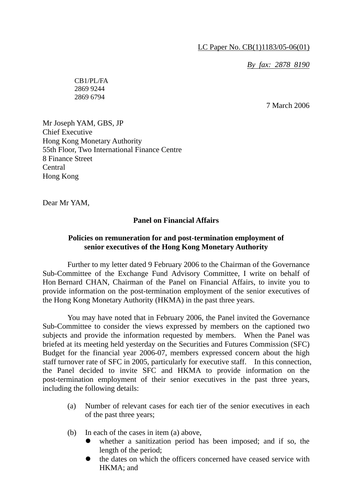*By fax: 2878 8190*

CB1/PL/FA 2869 9244 2869 6794

7 March 2006

Mr Joseph YAM, GBS, JP Chief Executive Hong Kong Monetary Authority 55th Floor, Two International Finance Centre 8 Finance Street Central Hong Kong

Dear Mr YAM,

## **Panel on Financial Affairs**

## **Policies on remuneration for and post-termination employment of senior executives of the Hong Kong Monetary Authority**

 Further to my letter dated 9 February 2006 to the Chairman of the Governance Sub-Committee of the Exchange Fund Advisory Committee, I write on behalf of Hon Bernard CHAN, Chairman of the Panel on Financial Affairs, to invite you to provide information on the post-termination employment of the senior executives of the Hong Kong Monetary Authority (HKMA) in the past three years.

 You may have noted that in February 2006, the Panel invited the Governance Sub-Committee to consider the views expressed by members on the captioned two subjects and provide the information requested by members. When the Panel was briefed at its meeting held yesterday on the Securities and Futures Commission (SFC) Budget for the financial year 2006-07, members expressed concern about the high staff turnover rate of SFC in 2005, particularly for executive staff. In this connection, the Panel decided to invite SFC and HKMA to provide information on the post-termination employment of their senior executives in the past three years, including the following details:

- (a) Number of relevant cases for each tier of the senior executives in each of the past three years;
- (b) In each of the cases in item (a) above,
	- whether a sanitization period has been imposed; and if so, the length of the period;
	- the dates on which the officers concerned have ceased service with HKMA; and